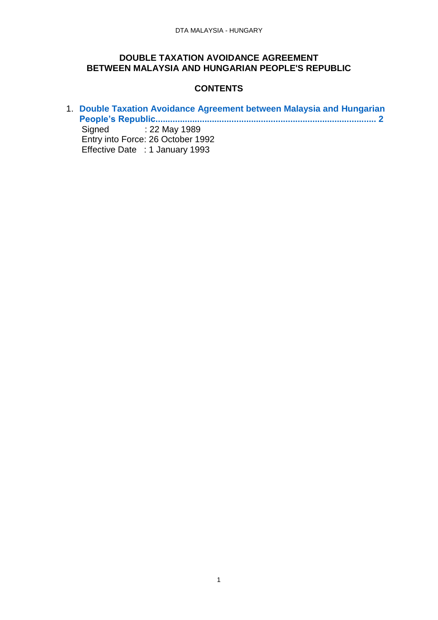#### **DOUBLE TAXATION AVOIDANCE AGREEMENT BETWEEN MALAYSIA AND HUNGARIAN PEOPLE'S REPUBLIC**

# **CONTENTS**

1. **[Double Taxation Avoidance Agreement between Malaysia and Hungarian](#page-1-0)  [People's Republic..........................................................................................](#page-1-0) 2** : 22 May 1989 Entry into Force: 26 October 1992 Effective Date : 1 January 1993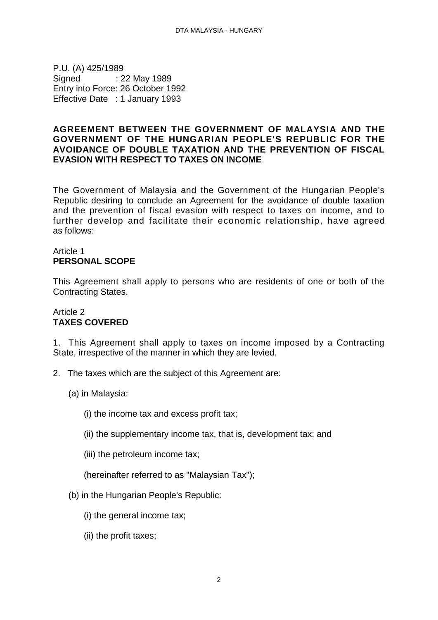<span id="page-1-0"></span>P.U. (A) 425/1989 Signed : 22 May 1989 Entry into Force: 26 October 1992 Effective Date : 1 January 1993

### **AGREEMENT BETWEEN THE GOVERNMENT OF MALAYSIA AND THE GOVERNMENT OF THE HUNGARIAN PEOPLE'S REPUBLIC FOR THE AVOIDANCE OF DOUBLE TAXATION AND THE PREVENTION OF FISCAL EVASION WITH RESPECT TO TAXES ON INCOME**

The Government of Malaysia and the Government of the Hungarian People's Republic desiring to conclude an Agreement for the avoidance of double taxation and the prevention of fiscal evasion with respect to taxes on income, and to further develop and facilitate their economic relationship, have agreed as follows:

## Article 1 **PERSONAL SCOPE**

This Agreement shall apply to persons who are residents of one or both of the Contracting States.

### Article 2 **TAXES COVERED**

1. This Agreement shall apply to taxes on income imposed by a Contracting State, irrespective of the manner in which they are levied.

- 2. The taxes which are the subject of this Agreement are:
	- (a) in Malaysia:
		- (i) the income tax and excess profit tax;
		- (ii) the supplementary income tax, that is, development tax; and
		- (iii) the petroleum income tax;

(hereinafter referred to as "Malaysian Tax");

- (b) in the Hungarian People's Republic:
	- (i) the general income tax;
	- (ii) the profit taxes;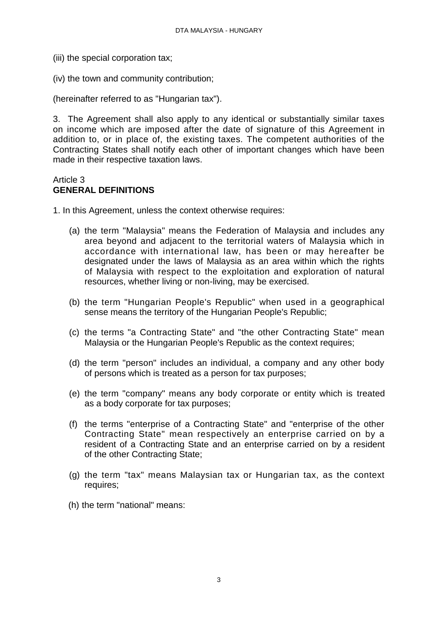- (iii) the special corporation tax;
- (iv) the town and community contribution;

(hereinafter referred to as "Hungarian tax").

3. The Agreement shall also apply to any identical or substantially similar taxes on income which are imposed after the date of signature of this Agreement in addition to, or in place of, the existing taxes. The competent authorities of the Contracting States shall notify each other of important changes which have been made in their respective taxation laws.

### Article 3 **GENERAL DEFINITIONS**

- 1. In this Agreement, unless the context otherwise requires:
	- (a) the term "Malaysia" means the Federation of Malaysia and includes any area beyond and adjacent to the territorial waters of Malaysia which in accordance with international law, has been or may hereafter be designated under the laws of Malaysia as an area within which the rights of Malaysia with respect to the exploitation and exploration of natural resources, whether living or non-living, may be exercised.
	- (b) the term "Hungarian People's Republic" when used in a geographical sense means the territory of the Hungarian People's Republic;
	- (c) the terms "a Contracting State" and "the other Contracting State" mean Malaysia or the Hungarian People's Republic as the context requires;
	- (d) the term "person" includes an individual, a company and any other body of persons which is treated as a person for tax purposes;
	- (e) the term "company" means any body corporate or entity which is treated as a body corporate for tax purposes;
	- (f) the terms "enterprise of a Contracting State" and "enterprise of the other Contracting State" mean respectively an enterprise carried on by a resident of a Contracting State and an enterprise carried on by a resident of the other Contracting State;
	- (g) the term "tax" means Malaysian tax or Hungarian tax, as the context requires;
	- (h) the term "national" means: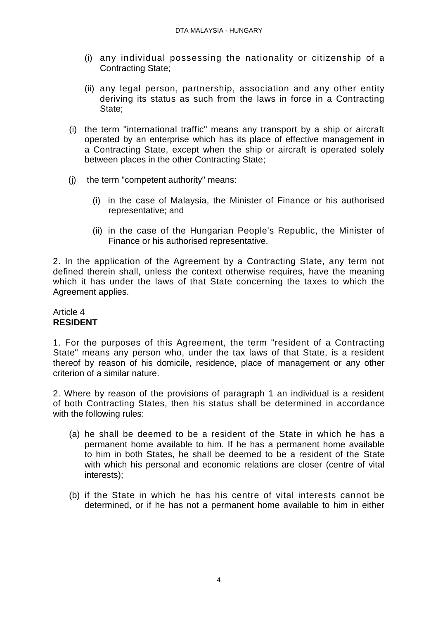- (i) any individual possessing the nationality or citizenship of a Contracting State;
- (ii) any legal person, partnership, association and any other entity deriving its status as such from the laws in force in a Contracting State;
- (i) the term "international traffic" means any transport by a ship or aircraft operated by an enterprise which has its place of effective management in a Contracting State, except when the ship or aircraft is operated solely between places in the other Contracting State;
- (j) the term "competent authority" means:
	- (i) in the case of Malaysia, the Minister of Finance or his authorised representative; and
	- (ii) in the case of the Hungarian People's Republic, the Minister of Finance or his authorised representative.

2. In the application of the Agreement by a Contracting State, any term not defined therein shall, unless the context otherwise requires, have the meaning which it has under the laws of that State concerning the taxes to which the Agreement applies.

# Article 4 **RESIDENT**

1. For the purposes of this Agreement, the term "resident of a Contracting State" means any person who, under the tax laws of that State, is a resident thereof by reason of his domicile, residence, place of management or any other criterion of a similar nature.

2. Where by reason of the provisions of paragraph 1 an individual is a resident of both Contracting States, then his status shall be determined in accordance with the following rules:

- (a) he shall be deemed to be a resident of the State in which he has a permanent home available to him. If he has a permanent home available to him in both States, he shall be deemed to be a resident of the State with which his personal and economic relations are closer (centre of vital interests);
- (b) if the State in which he has his centre of vital interests cannot be determined, or if he has not a permanent home available to him in either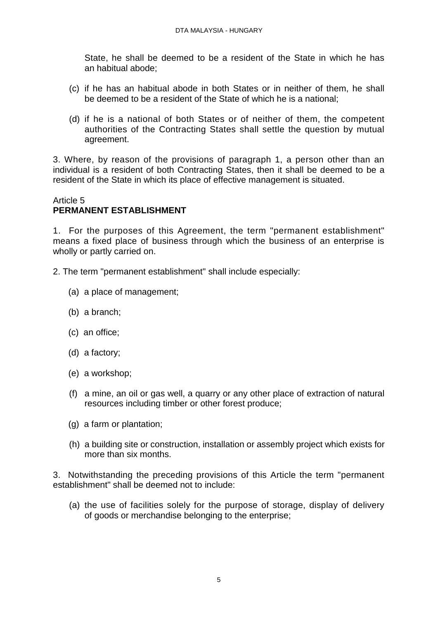State, he shall be deemed to be a resident of the State in which he has an habitual abode;

- (c) if he has an habitual abode in both States or in neither of them, he shall be deemed to be a resident of the State of which he is a national;
- (d) if he is a national of both States or of neither of them, the competent authorities of the Contracting States shall settle the question by mutual agreement.

3. Where, by reason of the provisions of paragraph 1, a person other than an individual is a resident of both Contracting States, then it shall be deemed to be a resident of the State in which its place of effective management is situated.

# Article 5 **PERMANENT ESTABLISHMENT**

1. For the purposes of this Agreement, the term "permanent establishment" means a fixed place of business through which the business of an enterprise is wholly or partly carried on.

2. The term "permanent establishment" shall include especially:

- (a) a place of management;
- (b) a branch;
- (c) an office;
- (d) a factory;
- (e) a workshop;
- (f) a mine, an oil or gas well, a quarry or any other place of extraction of natural resources including timber or other forest produce;
- (g) a farm or plantation;
- (h) a building site or construction, installation or assembly project which exists for more than six months.

3. Notwithstanding the preceding provisions of this Article the term "permanent establishment" shall be deemed not to include:

(a) the use of facilities solely for the purpose of storage, display of delivery of goods or merchandise belonging to the enterprise;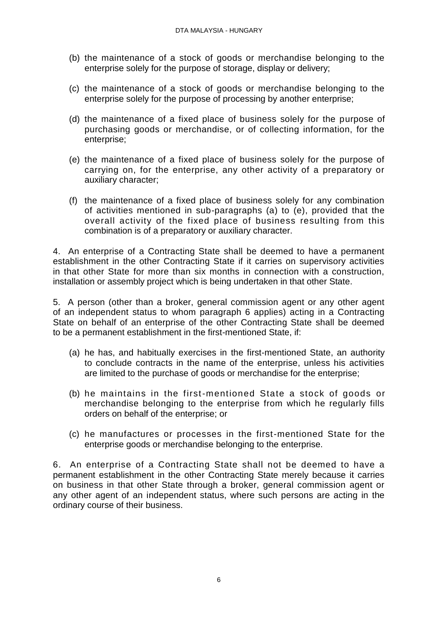- (b) the maintenance of a stock of goods or merchandise belonging to the enterprise solely for the purpose of storage, display or delivery;
- (c) the maintenance of a stock of goods or merchandise belonging to the enterprise solely for the purpose of processing by another enterprise;
- (d) the maintenance of a fixed place of business solely for the purpose of purchasing goods or merchandise, or of collecting information, for the enterprise;
- (e) the maintenance of a fixed place of business solely for the purpose of carrying on, for the enterprise, any other activity of a preparatory or auxiliary character;
- (f) the maintenance of a fixed place of business solely for any combination of activities mentioned in sub-paragraphs (a) to (e), provided that the overall activity of the fixed place of business resulting from this combination is of a preparatory or auxiliary character.

4. An enterprise of a Contracting State shall be deemed to have a permanent establishment in the other Contracting State if it carries on supervisory activities in that other State for more than six months in connection with a construction, installation or assembly project which is being undertaken in that other State.

5. A person (other than a broker, general commission agent or any other agent of an independent status to whom paragraph 6 applies) acting in a Contracting State on behalf of an enterprise of the other Contracting State shall be deemed to be a permanent establishment in the first-mentioned State, if:

- (a) he has, and habitually exercises in the first-mentioned State, an authority to conclude contracts in the name of the enterprise, unless his activities are limited to the purchase of goods or merchandise for the enterprise;
- (b) he maintains in the first-mentioned State a stock of goods or merchandise belonging to the enterprise from which he regularly fills orders on behalf of the enterprise; or
- (c) he manufactures or processes in the first-mentioned State for the enterprise goods or merchandise belonging to the enterprise.

6. An enterprise of a Contracting State shall not be deemed to have a permanent establishment in the other Contracting State merely because it carries on business in that other State through a broker, general commission agent or any other agent of an independent status, where such persons are acting in the ordinary course of their business.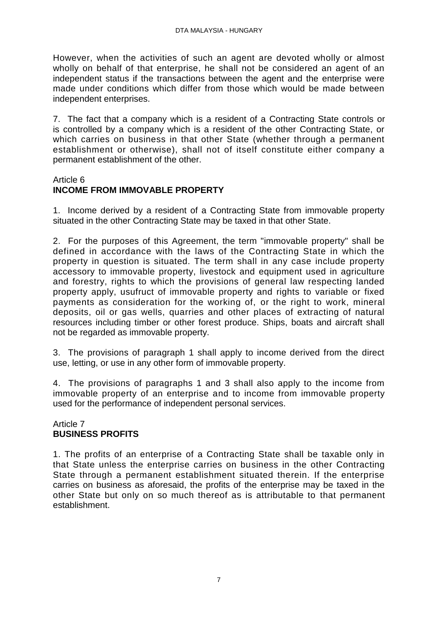However, when the activities of such an agent are devoted wholly or almost wholly on behalf of that enterprise, he shall not be considered an agent of an independent status if the transactions between the agent and the enterprise were made under conditions which differ from those which would be made between independent enterprises.

7. The fact that a company which is a resident of a Contracting State controls or is controlled by a company which is a resident of the other Contracting State, or which carries on business in that other State (whether through a permanent establishment or otherwise), shall not of itself constitute either company a permanent establishment of the other.

# Article 6

# **INCOME FROM IMMOVABLE PROPERTY**

1. Income derived by a resident of a Contracting State from immovable property situated in the other Contracting State may be taxed in that other State.

2. For the purposes of this Agreement, the term "immovable property" shall be defined in accordance with the laws of the Contracting State in which the property in question is situated. The term shall in any case include property accessory to immovable property, livestock and equipment used in agriculture and forestry, rights to which the provisions of general law respecting landed property apply, usufruct of immovable property and rights to variable or fixed payments as consideration for the working of, or the right to work, mineral deposits, oil or gas wells, quarries and other places of extracting of natural resources including timber or other forest produce. Ships, boats and aircraft shall not be regarded as immovable property.

3. The provisions of paragraph 1 shall apply to income derived from the direct use, letting, or use in any other form of immovable property.

4. The provisions of paragraphs 1 and 3 shall also apply to the income from immovable property of an enterprise and to income from immovable property used for the performance of independent personal services.

#### Article 7 **BUSINESS PROFITS**

1. The profits of an enterprise of a Contracting State shall be taxable only in that State unless the enterprise carries on business in the other Contracting State through a permanent establishment situated therein. If the enterprise carries on business as aforesaid, the profits of the enterprise may be taxed in the other State but only on so much thereof as is attributable to that permanent establishment.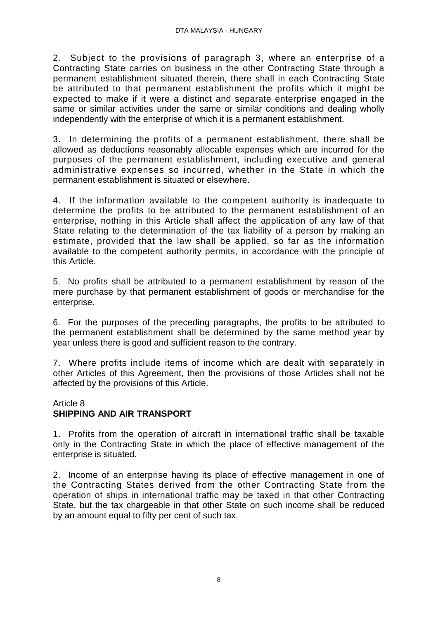2. Subject to the provisions of paragraph 3, where an enterprise of a Contracting State carries on business in the other Contracting State through a permanent establishment situated therein, there shall in each Contracting State be attributed to that permanent establishment the profits which it might be expected to make if it were a distinct and separate enterprise engaged in the same or similar activities under the same or similar conditions and dealing wholly independently with the enterprise of which it is a permanent establishment.

3. In determining the profits of a permanent establishment, there shall be allowed as deductions reasonably allocable expenses which are incurred for the purposes of the permanent establishment, including executive and general administrative expenses so incurred, whether in the State in which the permanent establishment is situated or elsewhere.

4. If the information available to the competent authority is inadequate to determine the profits to be attributed to the permanent establishment of an enterprise, nothing in this Article shall affect the application of any law of that State relating to the determination of the tax liability of a person by making an estimate, provided that the law shall be applied, so far as the information available to the competent authority permits, in accordance with the principle of this Article.

5. No profits shall be attributed to a permanent establishment by reason of the mere purchase by that permanent establishment of goods or merchandise for the enterprise.

6. For the purposes of the preceding paragraphs, the profits to be attributed to the permanent establishment shall be determined by the same method year by year unless there is good and sufficient reason to the contrary.

7. Where profits include items of income which are dealt with separately in other Articles of this Agreement, then the provisions of those Articles shall not be affected by the provisions of this Article.

### Article 8 **SHIPPING AND AIR TRANSPORT**

1. Profits from the operation of aircraft in international traffic shall be taxable only in the Contracting State in which the place of effective management of the enterprise is situated.

2. Income of an enterprise having its place of effective management in one of the Contracting States derived from the other Contracting State from the operation of ships in international traffic may be taxed in that other Contracting State, but the tax chargeable in that other State on such income shall be reduced by an amount equal to fifty per cent of such tax.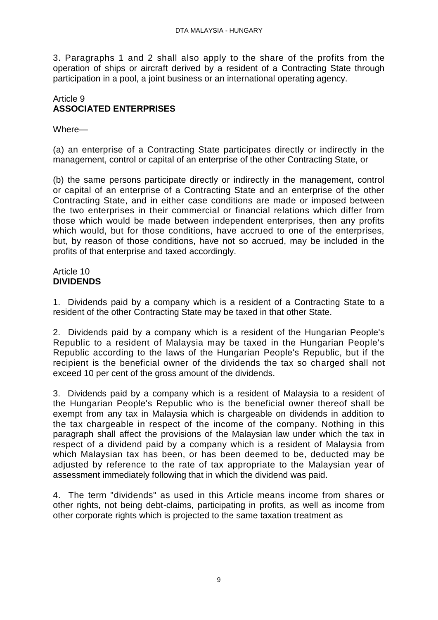3. Paragraphs 1 and 2 shall also apply to the share of the profits from the operation of ships or aircraft derived by a resident of a Contracting State through participation in a pool, a joint business or an international operating agency.

#### Article 9 **ASSOCIATED ENTERPRISES**

Where—

(a) an enterprise of a Contracting State participates directly or indirectly in the management, control or capital of an enterprise of the other Contracting State, or

(b) the same persons participate directly or indirectly in the management, control or capital of an enterprise of a Contracting State and an enterprise of the other Contracting State, and in either case conditions are made or imposed between the two enterprises in their commercial or financial relations which differ from those which would be made between independent enterprises, then any profits which would, but for those conditions, have accrued to one of the enterprises, but, by reason of those conditions, have not so accrued, may be included in the profits of that enterprise and taxed accordingly.

### Article 10 **DIVIDENDS**

1. Dividends paid by a company which is a resident of a Contracting State to a resident of the other Contracting State may be taxed in that other State.

2. Dividends paid by a company which is a resident of the Hungarian People's Republic to a resident of Malaysia may be taxed in the Hungarian People's Republic according to the laws of the Hungarian People's Republic, but if the recipient is the beneficial owner of the dividends the tax so charged shall not exceed 10 per cent of the gross amount of the dividends.

3. Dividends paid by a company which is a resident of Malaysia to a resident of the Hungarian People's Republic who is the beneficial owner thereof shall be exempt from any tax in Malaysia which is chargeable on dividends in addition to the tax chargeable in respect of the income of the company. Nothing in this paragraph shall affect the provisions of the Malaysian law under which the tax in respect of a dividend paid by a company which is a resident of Malaysia from which Malaysian tax has been, or has been deemed to be, deducted may be adjusted by reference to the rate of tax appropriate to the Malaysian year of assessment immediately following that in which the dividend was paid.

4. The term "dividends" as used in this Article means income from shares or other rights, not being debt-claims, participating in profits, as well as income from other corporate rights which is projected to the same taxation treatment as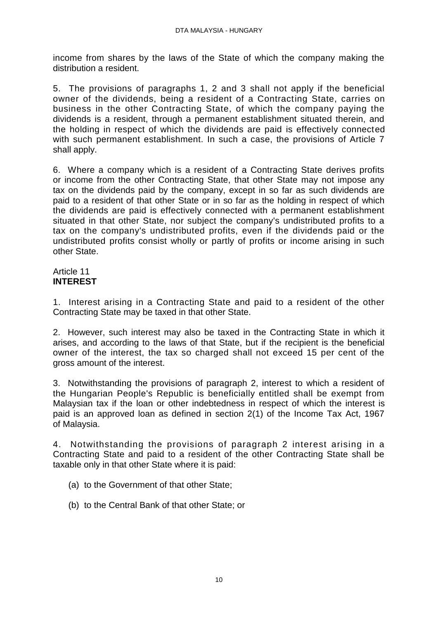income from shares by the laws of the State of which the company making the distribution a resident.

5. The provisions of paragraphs 1, 2 and 3 shall not apply if the beneficial owner of the dividends, being a resident of a Contracting State, carries on business in the other Contracting State, of which the company paying the dividends is a resident, through a permanent establishment situated therein, and the holding in respect of which the dividends are paid is effectively connected with such permanent establishment. In such a case, the provisions of Article 7 shall apply.

6. Where a company which is a resident of a Contracting State derives profits or income from the other Contracting State, that other State may not impose any tax on the dividends paid by the company, except in so far as such dividends are paid to a resident of that other State or in so far as the holding in respect of which the dividends are paid is effectively connected with a permanent establishment situated in that other State, nor subject the company's undistributed profits to a tax on the company's undistributed profits, even if the dividends paid or the undistributed profits consist wholly or partly of profits or income arising in such other State.

# Article 11 **INTEREST**

1. Interest arising in a Contracting State and paid to a resident of the other Contracting State may be taxed in that other State.

2. However, such interest may also be taxed in the Contracting State in which it arises, and according to the laws of that State, but if the recipient is the beneficial owner of the interest, the tax so charged shall not exceed 15 per cent of the gross amount of the interest.

3. Notwithstanding the provisions of paragraph 2, interest to which a resident of the Hungarian People's Republic is beneficially entitled shall be exempt from Malaysian tax if the loan or other indebtedness in respect of which the interest is paid is an approved loan as defined in section 2(1) of the Income Tax Act, 1967 of Malaysia.

4. Notwithstanding the provisions of paragraph 2 interest arising in a Contracting State and paid to a resident of the other Contracting State shall be taxable only in that other State where it is paid:

- (a) to the Government of that other State;
- (b) to the Central Bank of that other State; or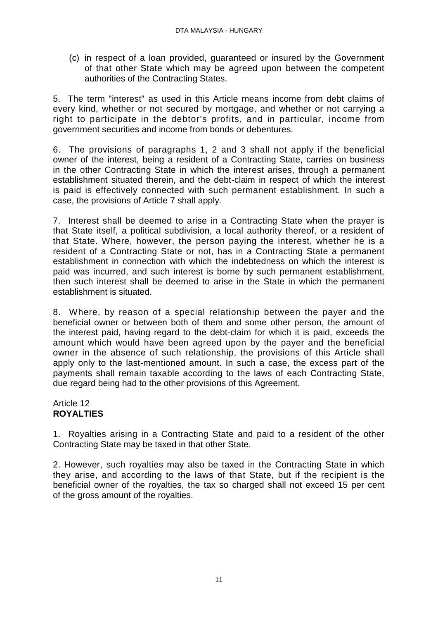(c) in respect of a loan provided, guaranteed or insured by the Government of that other State which may be agreed upon between the competent authorities of the Contracting States.

5. The term "interest" as used in this Article means income from debt claims of every kind, whether or not secured by mortgage, and whether or not carrying a right to participate in the debtor's profits, and in particular, income from government securities and income from bonds or debentures.

6. The provisions of paragraphs 1, 2 and 3 shall not apply if the beneficial owner of the interest, being a resident of a Contracting State, carries on business in the other Contracting State in which the interest arises, through a permanent establishment situated therein, and the debt-claim in respect of which the interest is paid is effectively connected with such permanent establishment. In such a case, the provisions of Article 7 shall apply.

7. Interest shall be deemed to arise in a Contracting State when the prayer is that State itself, a political subdivision, a local authority thereof, or a resident of that State. Where, however, the person paying the interest, whether he is a resident of a Contracting State or not, has in a Contracting State a permanent establishment in connection with which the indebtedness on which the interest is paid was incurred, and such interest is borne by such permanent establishment, then such interest shall be deemed to arise in the State in which the permanent establishment is situated.

8. Where, by reason of a special relationship between the payer and the beneficial owner or between both of them and some other person, the amount of the interest paid, having regard to the debt-claim for which it is paid, exceeds the amount which would have been agreed upon by the payer and the beneficial owner in the absence of such relationship, the provisions of this Article shall apply only to the last-mentioned amount. In such a case, the excess part of the payments shall remain taxable according to the laws of each Contracting State, due regard being had to the other provisions of this Agreement.

# Article 12 **ROYALTIES**

1. Royalties arising in a Contracting State and paid to a resident of the other Contracting State may be taxed in that other State.

2. However, such royalties may also be taxed in the Contracting State in which they arise, and according to the laws of that State, but if the recipient is the beneficial owner of the royalties, the tax so charged shall not exceed 15 per cent of the gross amount of the royalties.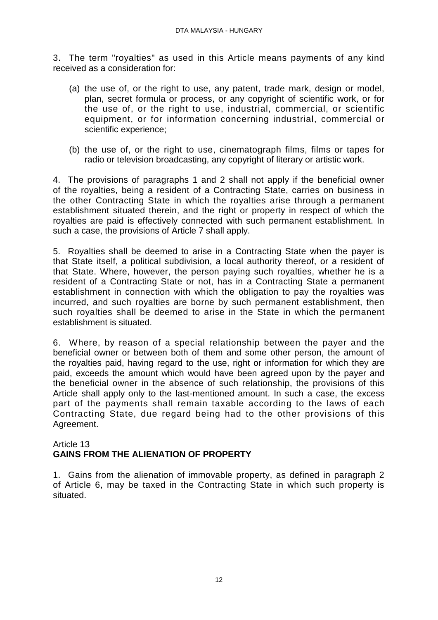3. The term "royalties" as used in this Article means payments of any kind received as a consideration for:

- (a) the use of, or the right to use, any patent, trade mark, design or model, plan, secret formula or process, or any copyright of scientific work, or for the use of, or the right to use, industrial, commercial, or scientific equipment, or for information concerning industrial, commercial or scientific experience;
- (b) the use of, or the right to use, cinematograph films, films or tapes for radio or television broadcasting, any copyright of literary or artistic work.

4. The provisions of paragraphs 1 and 2 shall not apply if the beneficial owner of the royalties, being a resident of a Contracting State, carries on business in the other Contracting State in which the royalties arise through a permanent establishment situated therein, and the right or property in respect of which the royalties are paid is effectively connected with such permanent establishment. In such a case, the provisions of Article 7 shall apply.

5. Royalties shall be deemed to arise in a Contracting State when the payer is that State itself, a political subdivision, a local authority thereof, or a resident of that State. Where, however, the person paying such royalties, whether he is a resident of a Contracting State or not, has in a Contracting State a permanent establishment in connection with which the obligation to pay the royalties was incurred, and such royalties are borne by such permanent establishment, then such royalties shall be deemed to arise in the State in which the permanent establishment is situated.

6. Where, by reason of a special relationship between the payer and the beneficial owner or between both of them and some other person, the amount of the royalties paid, having regard to the use, right or information for which they are paid, exceeds the amount which would have been agreed upon by the payer and the beneficial owner in the absence of such relationship, the provisions of this Article shall apply only to the last-mentioned amount. In such a case, the excess part of the payments shall remain taxable according to the laws of each Contracting State, due regard being had to the other provisions of this Agreement.

### Article 13 **GAINS FROM THE ALIENATION OF PROPERTY**

1. Gains from the alienation of immovable property, as defined in paragraph 2 of Article 6, may be taxed in the Contracting State in which such property is situated.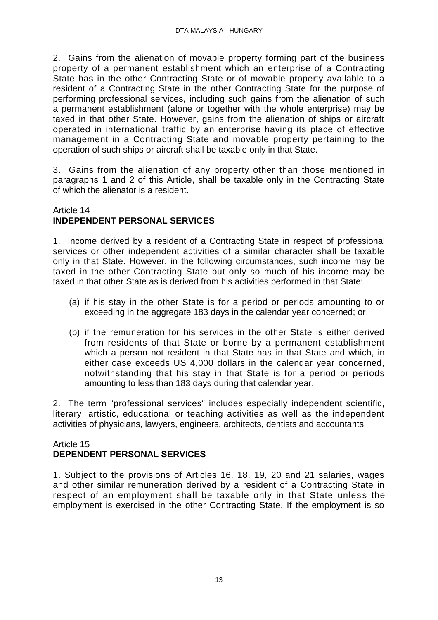2. Gains from the alienation of movable property forming part of the business property of a permanent establishment which an enterprise of a Contracting State has in the other Contracting State or of movable property available to a resident of a Contracting State in the other Contracting State for the purpose of performing professional services, including such gains from the alienation of such a permanent establishment (alone or together with the whole enterprise) may be taxed in that other State. However, gains from the alienation of ships or aircraft operated in international traffic by an enterprise having its place of effective management in a Contracting State and movable property pertaining to the operation of such ships or aircraft shall be taxable only in that State.

3. Gains from the alienation of any property other than those mentioned in paragraphs 1 and 2 of this Article, shall be taxable only in the Contracting State of which the alienator is a resident.

### Article 14 **INDEPENDENT PERSONAL SERVICES**

1. Income derived by a resident of a Contracting State in respect of professional services or other independent activities of a similar character shall be taxable only in that State. However, in the following circumstances, such income may be taxed in the other Contracting State but only so much of his income may be taxed in that other State as is derived from his activities performed in that State:

- (a) if his stay in the other State is for a period or periods amounting to or exceeding in the aggregate 183 days in the calendar year concerned; or
- (b) if the remuneration for his services in the other State is either derived from residents of that State or borne by a permanent establishment which a person not resident in that State has in that State and which, in either case exceeds US 4,000 dollars in the calendar year concerned, notwithstanding that his stay in that State is for a period or periods amounting to less than 183 days during that calendar year.

2. The term "professional services" includes especially independent scientific, literary, artistic, educational or teaching activities as well as the independent activities of physicians, lawyers, engineers, architects, dentists and accountants.

# Article 15 **DEPENDENT PERSONAL SERVICES**

1. Subject to the provisions of Articles 16, 18, 19, 20 and 21 salaries, wages and other similar remuneration derived by a resident of a Contracting State in respect of an employment shall be taxable only in that State unless the employment is exercised in the other Contracting State. If the employment is so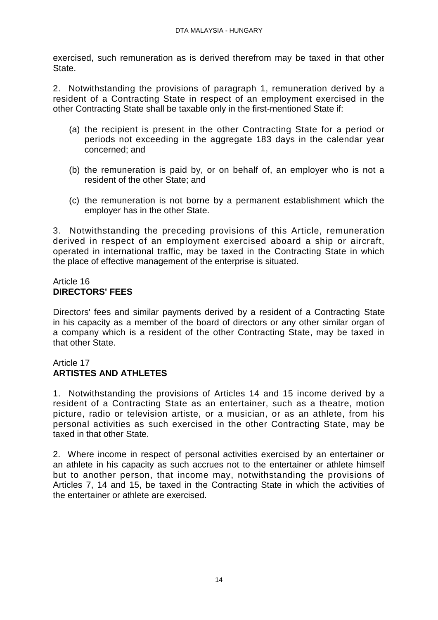exercised, such remuneration as is derived therefrom may be taxed in that other State.

2. Notwithstanding the provisions of paragraph 1, remuneration derived by a resident of a Contracting State in respect of an employment exercised in the other Contracting State shall be taxable only in the first-mentioned State if:

- (a) the recipient is present in the other Contracting State for a period or periods not exceeding in the aggregate 183 days in the calendar year concerned; and
- (b) the remuneration is paid by, or on behalf of, an employer who is not a resident of the other State; and
- (c) the remuneration is not borne by a permanent establishment which the employer has in the other State.

3. Notwithstanding the preceding provisions of this Article, remuneration derived in respect of an employment exercised aboard a ship or aircraft, operated in international traffic, may be taxed in the Contracting State in which the place of effective management of the enterprise is situated.

## Article 16 **DIRECTORS' FEES**

Directors' fees and similar payments derived by a resident of a Contracting State in his capacity as a member of the board of directors or any other similar organ of a company which is a resident of the other Contracting State, may be taxed in that other State.

# Article 17 **ARTISTES AND ATHLETES**

1. Notwithstanding the provisions of Articles 14 and 15 income derived by a resident of a Contracting State as an entertainer, such as a theatre, motion picture, radio or television artiste, or a musician, or as an athlete, from his personal activities as such exercised in the other Contracting State, may be taxed in that other State.

2. Where income in respect of personal activities exercised by an entertainer or an athlete in his capacity as such accrues not to the entertainer or athlete himself but to another person, that income may, notwithstanding the provisions of Articles 7, 14 and 15, be taxed in the Contracting State in which the activities of the entertainer or athlete are exercised.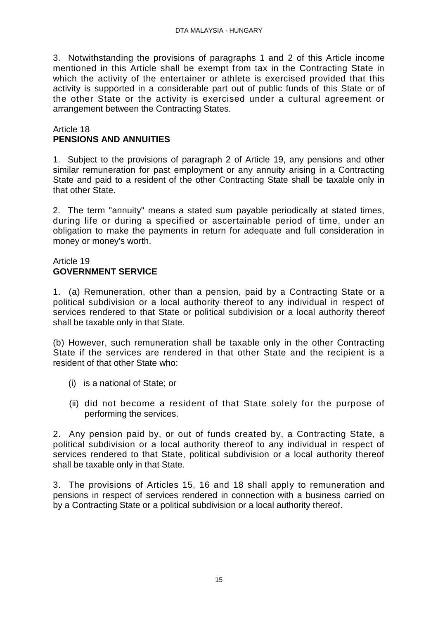3. Notwithstanding the provisions of paragraphs 1 and 2 of this Article income mentioned in this Article shall be exempt from tax in the Contracting State in which the activity of the entertainer or athlete is exercised provided that this activity is supported in a considerable part out of public funds of this State or of the other State or the activity is exercised under a cultural agreement or arrangement between the Contracting States.

#### Article 18 **PENSIONS AND ANNUITIES**

1. Subject to the provisions of paragraph 2 of Article 19, any pensions and other similar remuneration for past employment or any annuity arising in a Contracting State and paid to a resident of the other Contracting State shall be taxable only in that other State.

2. The term "annuity" means a stated sum payable periodically at stated times, during life or during a specified or ascertainable period of time, under an obligation to make the payments in return for adequate and full consideration in money or money's worth.

## Article 19 **GOVERNMENT SERVICE**

1. (a) Remuneration, other than a pension, paid by a Contracting State or a political subdivision or a local authority thereof to any individual in respect of services rendered to that State or political subdivision or a local authority thereof shall be taxable only in that State.

(b) However, such remuneration shall be taxable only in the other Contracting State if the services are rendered in that other State and the recipient is a resident of that other State who:

- (i) is a national of State; or
- (ii) did not become a resident of that State solely for the purpose of performing the services.

2. Any pension paid by, or out of funds created by, a Contracting State, a political subdivision or a local authority thereof to any individual in respect of services rendered to that State, political subdivision or a local authority thereof shall be taxable only in that State.

3. The provisions of Articles 15, 16 and 18 shall apply to remuneration and pensions in respect of services rendered in connection with a business carried on by a Contracting State or a political subdivision or a local authority thereof.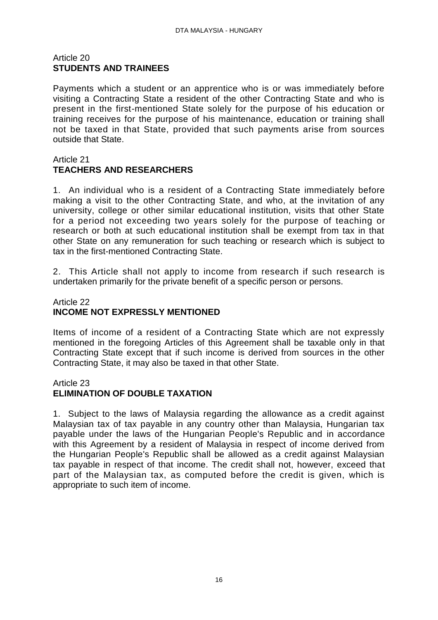#### Article 20 **STUDENTS AND TRAINEES**

Payments which a student or an apprentice who is or was immediately before visiting a Contracting State a resident of the other Contracting State and who is present in the first-mentioned State solely for the purpose of his education or training receives for the purpose of his maintenance, education or training shall not be taxed in that State, provided that such payments arise from sources outside that State.

### Article 21 **TEACHERS AND RESEARCHERS**

1. An individual who is a resident of a Contracting State immediately before making a visit to the other Contracting State, and who, at the invitation of any university, college or other similar educational institution, visits that other State for a period not exceeding two years solely for the purpose of teaching or research or both at such educational institution shall be exempt from tax in that other State on any remuneration for such teaching or research which is subject to tax in the first-mentioned Contracting State.

2. This Article shall not apply to income from research if such research is undertaken primarily for the private benefit of a specific person or persons.

# Article 22 **INCOME NOT EXPRESSLY MENTIONED**

Items of income of a resident of a Contracting State which are not expressly mentioned in the foregoing Articles of this Agreement shall be taxable only in that Contracting State except that if such income is derived from sources in the other Contracting State, it may also be taxed in that other State.

### Article 23

# **ELIMINATION OF DOUBLE TAXATION**

1. Subject to the laws of Malaysia regarding the allowance as a credit against Malaysian tax of tax payable in any country other than Malaysia, Hungarian tax payable under the laws of the Hungarian People's Republic and in accordance with this Agreement by a resident of Malaysia in respect of income derived from the Hungarian People's Republic shall be allowed as a credit against Malaysian tax payable in respect of that income. The credit shall not, however, exceed that part of the Malaysian tax, as computed before the credit is given, which is appropriate to such item of income.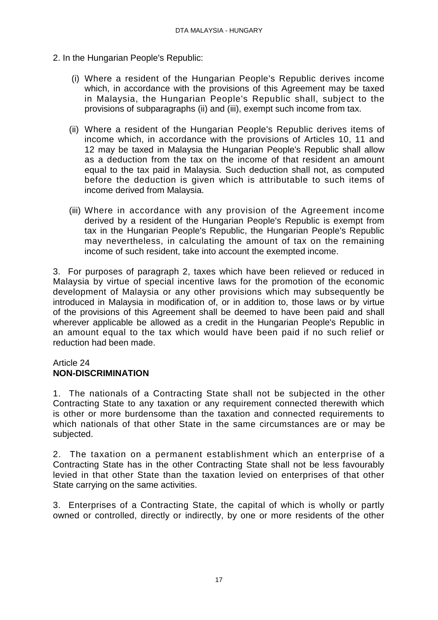- 2. In the Hungarian People's Republic:
	- (i) Where a resident of the Hungarian People's Republic derives income which, in accordance with the provisions of this Agreement may be taxed in Malaysia, the Hungarian People's Republic shall, subject to the provisions of subparagraphs (ii) and (iii), exempt such income from tax.
	- (ii) Where a resident of the Hungarian People's Republic derives items of income which, in accordance with the provisions of Articles 10, 11 and 12 may be taxed in Malaysia the Hungarian People's Republic shall allow as a deduction from the tax on the income of that resident an amount equal to the tax paid in Malaysia. Such deduction shall not, as computed before the deduction is given which is attributable to such items of income derived from Malaysia.
	- (iii) Where in accordance with any provision of the Agreement income derived by a resident of the Hungarian People's Republic is exempt from tax in the Hungarian People's Republic, the Hungarian People's Republic may nevertheless, in calculating the amount of tax on the remaining income of such resident, take into account the exempted income.

3. For purposes of paragraph 2, taxes which have been relieved or reduced in Malaysia by virtue of special incentive laws for the promotion of the economic development of Malaysia or any other provisions which may subsequently be introduced in Malaysia in modification of, or in addition to, those laws or by virtue of the provisions of this Agreement shall be deemed to have been paid and shall wherever applicable be allowed as a credit in the Hungarian People's Republic in an amount equal to the tax which would have been paid if no such relief or reduction had been made.

### Article 24 **NON-DISCRIMINATION**

1. The nationals of a Contracting State shall not be subjected in the other Contracting State to any taxation or any requirement connected therewith which is other or more burdensome than the taxation and connected requirements to which nationals of that other State in the same circumstances are or may be subjected.

2. The taxation on a permanent establishment which an enterprise of a Contracting State has in the other Contracting State shall not be less favourably levied in that other State than the taxation levied on enterprises of that other State carrying on the same activities.

3. Enterprises of a Contracting State, the capital of which is wholly or partly owned or controlled, directly or indirectly, by one or more residents of the other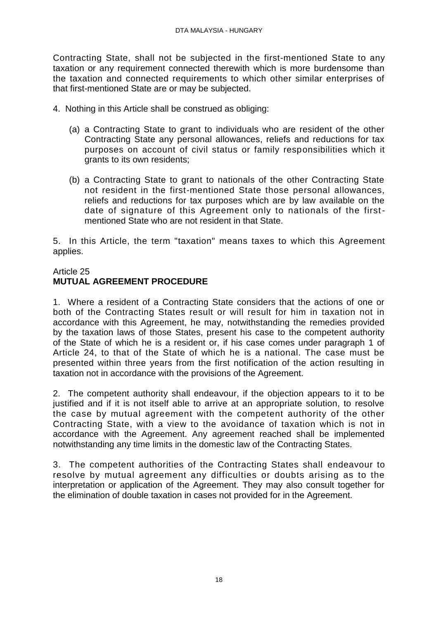Contracting State, shall not be subjected in the first-mentioned State to any taxation or any requirement connected therewith which is more burdensome than the taxation and connected requirements to which other similar enterprises of that first-mentioned State are or may be subjected.

- 4. Nothing in this Article shall be construed as obliging:
	- (a) a Contracting State to grant to individuals who are resident of the other Contracting State any personal allowances, reliefs and reductions for tax purposes on account of civil status or family responsibilities which it grants to its own residents;
	- (b) a Contracting State to grant to nationals of the other Contracting State not resident in the first-mentioned State those personal allowances, reliefs and reductions for tax purposes which are by law available on the date of signature of this Agreement only to nationals of the firstmentioned State who are not resident in that State.

5. In this Article, the term "taxation" means taxes to which this Agreement applies.

### Article 25

# **MUTUAL AGREEMENT PROCEDURE**

1. Where a resident of a Contracting State considers that the actions of one or both of the Contracting States result or will result for him in taxation not in accordance with this Agreement, he may, notwithstanding the remedies provided by the taxation laws of those States, present his case to the competent authority of the State of which he is a resident or, if his case comes under paragraph 1 of Article 24, to that of the State of which he is a national. The case must be presented within three years from the first notification of the action resulting in taxation not in accordance with the provisions of the Agreement.

2. The competent authority shall endeavour, if the objection appears to it to be justified and if it is not itself able to arrive at an appropriate solution, to resolve the case by mutual agreement with the competent authority of the other Contracting State, with a view to the avoidance of taxation which is not in accordance with the Agreement. Any agreement reached shall be implemented notwithstanding any time limits in the domestic law of the Contracting States.

3. The competent authorities of the Contracting States shall endeavour to resolve by mutual agreement any difficulties or doubts arising as to the interpretation or application of the Agreement. They may also consult together for the elimination of double taxation in cases not provided for in the Agreement.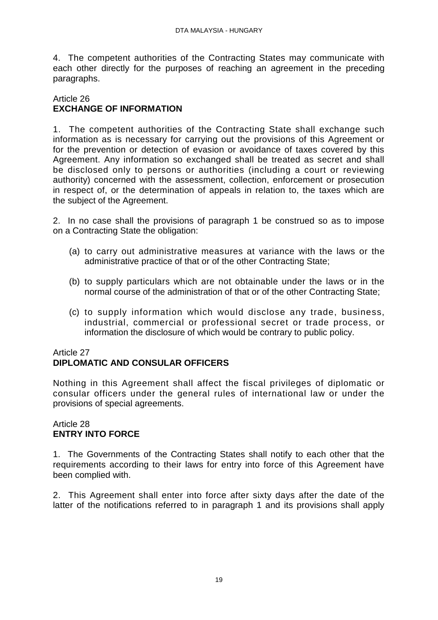4. The competent authorities of the Contracting States may communicate with each other directly for the purposes of reaching an agreement in the preceding paragraphs.

# Article 26 **EXCHANGE OF INFORMATION**

1. The competent authorities of the Contracting State shall exchange such information as is necessary for carrying out the provisions of this Agreement or for the prevention or detection of evasion or avoidance of taxes covered by this Agreement. Any information so exchanged shall be treated as secret and shall be disclosed only to persons or authorities (including a court or reviewing authority) concerned with the assessment, collection, enforcement or prosecution in respect of, or the determination of appeals in relation to, the taxes which are the subject of the Agreement.

2. In no case shall the provisions of paragraph 1 be construed so as to impose on a Contracting State the obligation:

- (a) to carry out administrative measures at variance with the laws or the administrative practice of that or of the other Contracting State;
- (b) to supply particulars which are not obtainable under the laws or in the normal course of the administration of that or of the other Contracting State;
- (c) to supply information which would disclose any trade, business, industrial, commercial or professional secret or trade process, or information the disclosure of which would be contrary to public policy.

# Article 27 **DIPLOMATIC AND CONSULAR OFFICERS**

Nothing in this Agreement shall affect the fiscal privileges of diplomatic or consular officers under the general rules of international law or under the provisions of special agreements.

### Article 28 **ENTRY INTO FORCE**

1. The Governments of the Contracting States shall notify to each other that the requirements according to their laws for entry into force of this Agreement have been complied with.

2. This Agreement shall enter into force after sixty days after the date of the latter of the notifications referred to in paragraph 1 and its provisions shall apply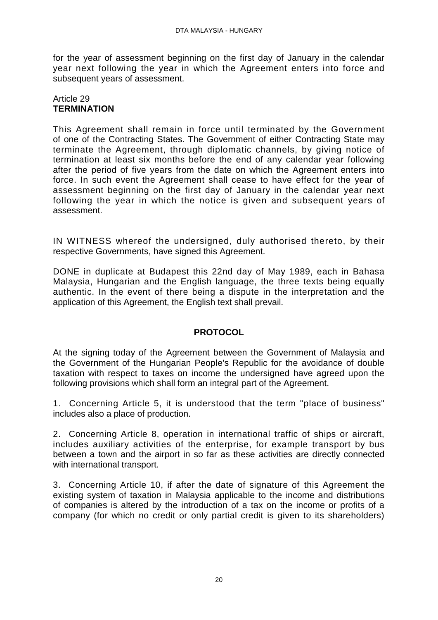for the year of assessment beginning on the first day of January in the calendar year next following the year in which the Agreement enters into force and subsequent years of assessment.

# Article 29 **TERMINATION**

This Agreement shall remain in force until terminated by the Government of one of the Contracting States. The Government of either Contracting State may terminate the Agreement, through diplomatic channels, by giving notice of termination at least six months before the end of any calendar year following after the period of five years from the date on which the Agreement enters into force. In such event the Agreement shall cease to have effect for the year of assessment beginning on the first day of January in the calendar year next following the year in which the notice is given and subsequent years of assessment.

IN WITNESS whereof the undersigned, duly authorised thereto, by their respective Governments, have signed this Agreement.

DONE in duplicate at Budapest this 22nd day of May 1989, each in Bahasa Malaysia, Hungarian and the English language, the three texts being equally authentic. In the event of there being a dispute in the interpretation and the application of this Agreement, the English text shall prevail.

# **PROTOCOL**

At the signing today of the Agreement between the Government of Malaysia and the Government of the Hungarian People's Republic for the avoidance of double taxation with respect to taxes on income the undersigned have agreed upon the following provisions which shall form an integral part of the Agreement.

1. Concerning Article 5, it is understood that the term "place of business" includes also a place of production.

2. Concerning Article 8, operation in international traffic of ships or aircraft, includes auxiliary activities of the enterprise, for example transport by bus between a town and the airport in so far as these activities are directly connected with international transport.

3. Concerning Article 10, if after the date of signature of this Agreement the existing system of taxation in Malaysia applicable to the income and distributions of companies is altered by the introduction of a tax on the income or profits of a company (for which no credit or only partial credit is given to its shareholders)